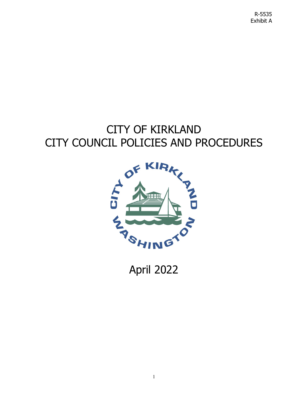R-5535 Exhibit A

# CITY OF KIRKLAND CITY COUNCIL POLICIES AND PROCEDURES



April 2022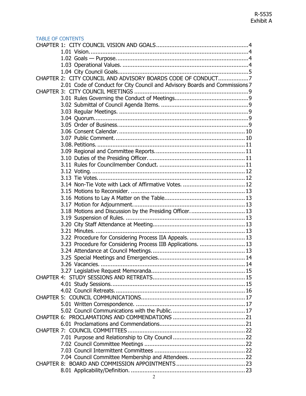### TABLE OF CONTENTS

| 2.01 Code of Conduct for City Council and Advisory Boards and Commissions 7 |  |
|-----------------------------------------------------------------------------|--|
|                                                                             |  |
|                                                                             |  |
|                                                                             |  |
|                                                                             |  |
|                                                                             |  |
|                                                                             |  |
|                                                                             |  |
|                                                                             |  |
|                                                                             |  |
|                                                                             |  |
|                                                                             |  |
|                                                                             |  |
|                                                                             |  |
|                                                                             |  |
|                                                                             |  |
|                                                                             |  |
|                                                                             |  |
|                                                                             |  |
| 3.18 Motions and Discussion by the Presiding Officer 13                     |  |
|                                                                             |  |
|                                                                             |  |
|                                                                             |  |
| 3.22 Procedure for Considering Process IIA Appeals.  13                     |  |
| 3.23 Procedure for Considering Process IIB Applications.  13                |  |
|                                                                             |  |
|                                                                             |  |
|                                                                             |  |
|                                                                             |  |
|                                                                             |  |
|                                                                             |  |
|                                                                             |  |
|                                                                             |  |
|                                                                             |  |
|                                                                             |  |
|                                                                             |  |
|                                                                             |  |
|                                                                             |  |
|                                                                             |  |
|                                                                             |  |
|                                                                             |  |
|                                                                             |  |
|                                                                             |  |
|                                                                             |  |
|                                                                             |  |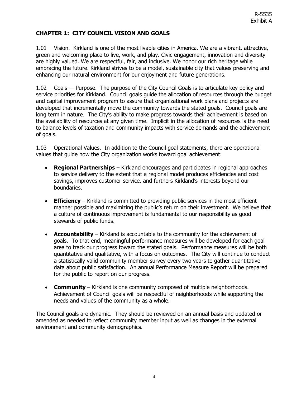# <span id="page-3-0"></span>**CHAPTER 1: CITY COUNCIL VISION AND GOALS**

<span id="page-3-1"></span>1.01 Vision. Kirkland is one of the most livable cities in America. We are a vibrant, attractive, green and welcoming place to live, work, and play. Civic engagement, innovation and diversity are highly valued. We are respectful, fair, and inclusive. We honor our rich heritage while embracing the future. Kirkland strives to be a model, sustainable city that values preserving and enhancing our natural environment for our enjoyment and future generations.

<span id="page-3-2"></span>1.02 Goals — Purpose. The purpose of the City Council Goals is to articulate key policy and service priorities for Kirkland. Council goals guide the allocation of resources through the budget and capital improvement program to assure that organizational work plans and projects are developed that incrementally move the community towards the stated goals. Council goals are long term in nature. The City's ability to make progress towards their achievement is based on the availability of resources at any given time. Implicit in the allocation of resources is the need to balance levels of taxation and community impacts with service demands and the achievement of goals.

<span id="page-3-3"></span>1.03 Operational Values. In addition to the Council goal statements, there are operational values that guide how the City organization works toward goal achievement:

- **Regional Partnerships** Kirkland encourages and participates in regional approaches to service delivery to the extent that a regional model produces efficiencies and cost savings, improves customer service, and furthers Kirkland's interests beyond our boundaries.
- **Efficiency** Kirkland is committed to providing public services in the most efficient manner possible and maximizing the public's return on their investment. We believe that a culture of continuous improvement is fundamental to our responsibility as good stewards of public funds.
- **Accountability** Kirkland is accountable to the community for the achievement of goals. To that end, meaningful performance measures will be developed for each goal area to track our progress toward the stated goals. Performance measures will be both quantitative and qualitative, with a focus on outcomes. The City will continue to conduct a statistically valid community member survey every two years to gather quantitative data about public satisfaction. An annual Performance Measure Report will be prepared for the public to report on our progress.
- **Community**  Kirkland is one community composed of multiple neighborhoods. Achievement of Council goals will be respectful of neighborhoods while supporting the needs and values of the community as a whole.

The Council goals are dynamic. They should be reviewed on an annual basis and updated or amended as needed to reflect community member input as well as changes in the external environment and community demographics.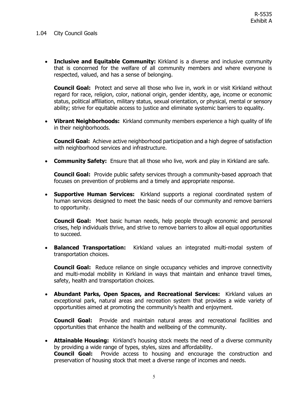#### <span id="page-4-0"></span>1.04 City Council Goals

• **Inclusive and Equitable Community:** Kirkland is a diverse and inclusive community that is concerned for the welfare of all community members and where everyone is respected, valued, and has a sense of belonging.

**Council Goal:** Protect and serve all those who live in, work in or visit Kirkland without regard for race, religion, color, national origin, gender identity, age, income or economic status, political affiliation, military status, sexual orientation, or physical, mental or sensory ability; strive for equitable access to justice and eliminate systemic barriers to equality.

• **Vibrant Neighborhoods:** Kirkland community members experience a high quality of life in their neighborhoods.

**Council Goal:** Achieve active neighborhood participation and a high degree of satisfaction with neighborhood services and infrastructure.

• **Community Safety:** Ensure that all those who live, work and play in Kirkland are safe.

**Council Goal:** Provide public safety services through a community-based approach that focuses on prevention of problems and a timely and appropriate response.

• **Supportive Human Services:** Kirkland supports a regional coordinated system of human services designed to meet the basic needs of our community and remove barriers to opportunity.

**Council Goal:** Meet basic human needs, help people through economic and personal crises, help individuals thrive, and strive to remove barriers to allow all equal opportunities to succeed.

• **Balanced Transportation:** Kirkland values an integrated multi-modal system of transportation choices.

**Council Goal:** Reduce reliance on single occupancy vehicles and improve connectivity and multi-modal mobility in Kirkland in ways that maintain and enhance travel times, safety, health and transportation choices.

• **Abundant Parks, Open Spaces, and Recreational Services:** Kirkland values an exceptional park, natural areas and recreation system that provides a wide variety of opportunities aimed at promoting the community's health and enjoyment.

**Council Goal:** Provide and maintain natural areas and recreational facilities and opportunities that enhance the health and wellbeing of the community.

• **Attainable Housing:** Kirkland's housing stock meets the need of a diverse community by providing a wide range of types, styles, sizes and affordability.<br>**Council Goal:** Provide access to housing and encourage

Provide access to housing and encourage the construction and preservation of housing stock that meet a diverse range of incomes and needs.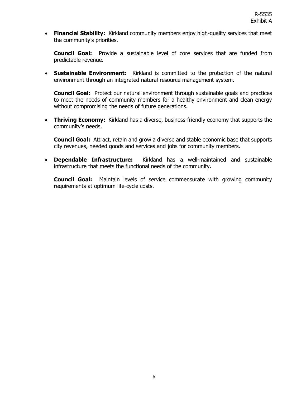• **Financial Stability:** Kirkland community members enjoy high-quality services that meet the community's priorities.

**Council Goal:** Provide a sustainable level of core services that are funded from predictable revenue.

• **Sustainable Environment:** Kirkland is committed to the protection of the natural environment through an integrated natural resource management system.

**Council Goal:** Protect our natural environment through sustainable goals and practices to meet the needs of community members for a healthy environment and clean energy without compromising the needs of future generations.

• **Thriving Economy:** Kirkland has a diverse, business-friendly economy that supports the community's needs.

**Council Goal:** Attract, retain and grow a diverse and stable economic base that supports city revenues, needed goods and services and jobs for community members.

• **Dependable Infrastructure:** Kirkland has a well-maintained and sustainable infrastructure that meets the functional needs of the community.

**Council Goal:** Maintain levels of service commensurate with growing community requirements at optimum life-cycle costs.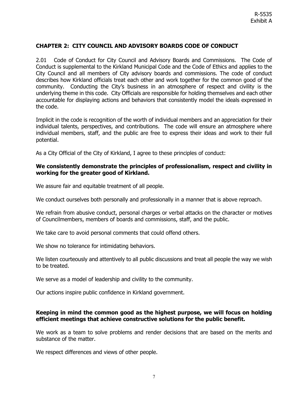# <span id="page-6-0"></span>**CHAPTER 2: CITY COUNCIL AND ADVISORY BOARDS CODE OF CONDUCT**

<span id="page-6-1"></span>2.01 Code of Conduct for City Council and Advisory Boards and Commissions. The Code of Conduct is supplemental to the Kirkland Municipal Code and the Code of Ethics and applies to the City Council and all members of City advisory boards and commissions. The code of conduct describes how Kirkland officials treat each other and work together for the common good of the community. Conducting the City's business in an atmosphere of respect and civility is the underlying theme in this code. City Officials are responsible for holding themselves and each other accountable for displaying actions and behaviors that consistently model the ideals expressed in the code.

Implicit in the code is recognition of the worth of individual members and an appreciation for their individual talents, perspectives, and contributions. The code will ensure an atmosphere where individual members, staff, and the public are free to express their ideas and work to their full potential.

As a City Official of the City of Kirkland, I agree to these principles of conduct:

### **We consistently demonstrate the principles of professionalism, respect and civility in working for the greater good of Kirkland.**

We assure fair and equitable treatment of all people.

We conduct ourselves both personally and professionally in a manner that is above reproach.

We refrain from abusive conduct, personal charges or verbal attacks on the character or motives of Councilmembers, members of boards and commissions, staff, and the public.

We take care to avoid personal comments that could offend others.

We show no tolerance for intimidating behaviors.

We listen courteously and attentively to all public discussions and treat all people the way we wish to be treated.

We serve as a model of leadership and civility to the community.

Our actions inspire public confidence in Kirkland government.

#### **Keeping in mind the common good as the highest purpose, we will focus on holding efficient meetings that achieve constructive solutions for the public benefit.**

We work as a team to solve problems and render decisions that are based on the merits and substance of the matter.

We respect differences and views of other people.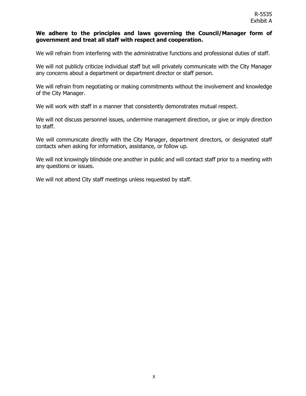### **We adhere to the principles and laws governing the Council/Manager form of government and treat all staff with respect and cooperation.**

We will refrain from interfering with the administrative functions and professional duties of staff.

We will not publicly criticize individual staff but will privately communicate with the City Manager any concerns about a department or department director or staff person.

We will refrain from negotiating or making commitments without the involvement and knowledge of the City Manager.

We will work with staff in a manner that consistently demonstrates mutual respect.

We will not discuss personnel issues, undermine management direction, or give or imply direction to staff.

We will communicate directly with the City Manager, department directors, or designated staff contacts when asking for information, assistance, or follow up.

We will not knowingly blindside one another in public and will contact staff prior to a meeting with any questions or issues.

We will not attend City staff meetings unless requested by staff.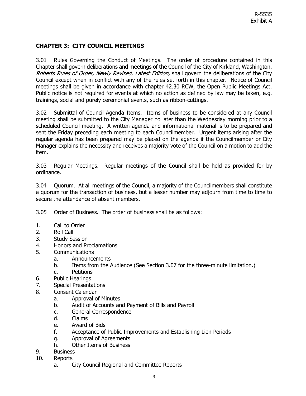# <span id="page-8-0"></span>**CHAPTER 3: CITY COUNCIL MEETINGS**

<span id="page-8-1"></span>3.01 Rules Governing the Conduct of Meetings.The order of procedure contained in this Chapter shall govern deliberations and meetings of the Council of the City of Kirkland, Washington. Roberts Rules of Order, Newly Revised, Latest Edition, shall govern the deliberations of the City Council except when in conflict with any of the rules set forth in this chapter. Notice of Council meetings shall be given in accordance with chapter 42.30 RCW, the Open Public Meetings Act. Public notice is not required for events at which no action as defined by law may be taken, e.g. trainings, social and purely ceremonial events, such as ribbon-cuttings.

<span id="page-8-2"></span>3.02 Submittal of Council Agenda Items. Items of business to be considered at any Council meeting shall be submitted to the City Manager no later than the Wednesday morning prior to a scheduled Council meeting. A written agenda and informational material is to be prepared and sent the Friday preceding each meeting to each Councilmember. Urgent items arising after the regular agenda has been prepared may be placed on the agenda if the Councilmember or City Manager explains the necessity and receives a majority vote of the Council on a motion to add the item.

<span id="page-8-3"></span>3.03 Regular Meetings. Regular meetings of the Council shall be held as provided for by ordinance.

<span id="page-8-4"></span>3.04 Quorum. At all meetings of the Council, a majority of the Councilmembers shall constitute a quorum for the transaction of business, but a lesser number may adjourn from time to time to secure the attendance of absent members.

<span id="page-8-5"></span>3.05 Order of Business.The order of business shall be as follows:

- 1. Call to Order
- 2. Roll Call
- 3. Study Session<br>4. Honors and Pr
- 4. Honors and Proclamations
- 5. Communications
	- a. Announcements
	- b. Items from the Audience (See Section 3.07 for the three-minute limitation.)
	- c. Petitions
- 6. Public Hearings
- 7. Special Presentations
- 8. Consent Calendar
	- a. Approval of Minutes
	- b. Audit of Accounts and Payment of Bills and Payroll
	- c. General Correspondence
	- d. Claims
	- e. Award of Bids
	- f. Acceptance of Public Improvements and Establishing Lien Periods
	- g. Approval of Agreements
	- h. Other Items of Business
- 9. Business
- 10. Reports
	- a. City Council Regional and Committee Reports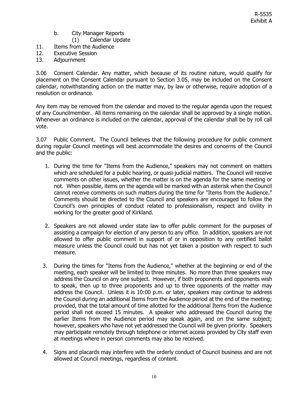- b. City Manager Reports
	- (1) Calendar Update
- 11. Items from the Audience
- 12. Executive Session
- 13. Adjournment

<span id="page-9-0"></span>3.06 Consent Calendar. Any matter, which because of its routine nature, would qualify for placement on the Consent Calendar pursuant to Section 3.05, may be included on the Consent calendar, notwithstanding action on the matter may, by law or otherwise, require adoption of a resolution or ordinance.

Any item may be removed from the calendar and moved to the regular agenda upon the request of any Councilmember. All items remaining on the calendar shall be approved by a single motion. Whenever an ordinance is included on the calendar, approval of the calendar shall be by roll call vote.

<span id="page-9-1"></span>3.07 Public Comment. The Council believes that the following procedure for public comment during regular Council meetings will best accommodate the desires and concerns of the Council and the public:

- 1. During the time for "Items from the Audience," speakers may not comment on matters which are scheduled for a public hearing, or quasi-judicial matters. The Council will receive comments on other issues, whether the matter is on the agenda for the same meeting or not. When possible, items on the agenda will be marked with an asterisk when the Council cannot receive comments on such matters during the time for "Items from the Audience." Comments should be directed to the Council and speakers are encouraged to follow the Council's own principles of conduct related to professionalism, respect and civility in working for the greater good of Kirkland.
- 2. Speakers are not allowed under state law to offer public comment for the purposes of assisting a campaign for election of any person to any office. In addition, speakers are not allowed to offer public comment in support of or in opposition to any certified ballot measure unless the Council could but has not yet taken a position with respect to such measure.
- 3. During the times for "Items from the Audience," whether at the beginning or end of the meeting, each speaker will be limited to three minutes. No more than three speakers may address the Council on any one subject. However, if both proponents and opponents wish to speak, then up to three proponents and up to three opponents of the matter may address the Council. Unless it is 10:00 p.m. or later, speakers may continue to address the Council during an additional Items from the Audience period at the end of the meeting; provided, that the total amount of time allotted for the additional Items from the Audience period shall not exceed 15 minutes. A speaker who addressed the Council during the earlier Items from the Audience period may speak again, and on the same subject; however, speakers who have not yet addressed the Council will be given priority. Speakers may participate remotely through telephone or internet access provided by City staff even at meetings where in person comments may also be received.
- 4. Signs and placards may interfere with the orderly conduct of Council business and are not allowed at Council meetings, regardless of content.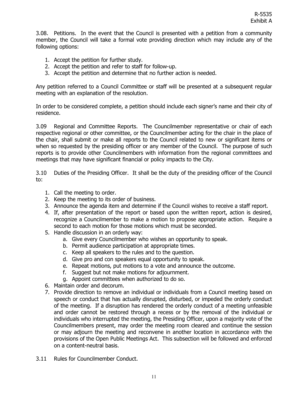<span id="page-10-0"></span>3.08. Petitions. In the event that the Council is presented with a petition from a community member, the Council will take a formal vote providing direction which may include any of the following options:

- 1. Accept the petition for further study.
- 2. Accept the petition and refer to staff for follow-up.
- 3. Accept the petition and determine that no further action is needed.

Any petition referred to a Council Committee or staff will be presented at a subsequent regular meeting with an explanation of the resolution.

In order to be considered complete, a petition should include each signer's name and their city of residence.

<span id="page-10-1"></span>3.09 Regional and Committee Reports. The Councilmember representative or chair of each respective regional or other committee, or the Councilmember acting for the chair in the place of the chair, shall submit or make all reports to the Council related to new or significant items or when so requested by the presiding officer or any member of the Council. The purpose of such reports is to provide other Councilmembers with information from the regional committees and meetings that may have significant financial or policy impacts to the City.

<span id="page-10-2"></span>3.10 Duties of the Presiding Officer. It shall be the duty of the presiding officer of the Council to:

- 1. Call the meeting to order.
- 2. Keep the meeting to its order of business.
- 3. Announce the agenda item and determine if the Council wishes to receive a staff report.
- 4. If, after presentation of the report or based upon the written report, action is desired, recognize a Councilmember to make a motion to propose appropriate action. Require a second to each motion for those motions which must be seconded.
- 5. Handle discussion in an orderly way:
	- a. Give every Councilmember who wishes an opportunity to speak.
	- b. Permit audience participation at appropriate times.
	- c. Keep all speakers to the rules and to the question.
	- d. Give pro and con speakers equal opportunity to speak.
	- e. Repeat motions, put motions to a vote and announce the outcome.
	- f. Suggest but not make motions for adjournment.
	- g. Appoint committees when authorized to do so.
- 6. Maintain order and decorum.
- 7. Provide direction to remove an individual or individuals from a Council meeting based on speech or conduct that has actually disrupted, disturbed, or impeded the orderly conduct of the meeting. If a disruption has rendered the orderly conduct of a meeting unfeasible and order cannot be restored through a recess or by the removal of the individual or individuals who interrupted the meeting, the Presiding Officer, upon a majority vote of the Councilmembers present, may order the meeting room cleared and continue the session or may adjourn the meeting and reconvene in another location in accordance with the provisions of the Open Public Meetings Act. This subsection will be followed and enforced on a content-neutral basis.
- <span id="page-10-3"></span>3.11 Rules for Councilmember Conduct.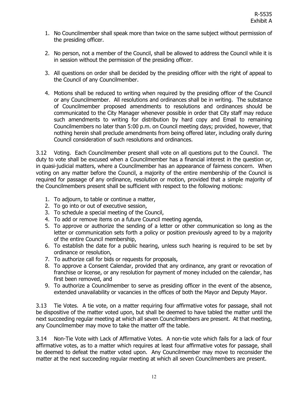- 1. No Councilmember shall speak more than twice on the same subject without permission of the presiding officer.
- 2. No person, not a member of the Council, shall be allowed to address the Council while it is in session without the permission of the presiding officer.
- 3. All questions on order shall be decided by the presiding officer with the right of appeal to the Council of any Councilmember.
- 4. Motions shall be reduced to writing when required by the presiding officer of the Council or any Councilmember. All resolutions and ordinances shall be in writing. The substance of Councilmember proposed amendments to resolutions and ordinances should be communicated to the City Manager whenever possible in order that City staff may reduce such amendments to writing for distribution by hard copy and Email to remaining Councilmembers no later than 5:00 p.m. on Council meeting days; provided, however, that nothing herein shall preclude amendments from being offered later, including orally during Council consideration of such resolutions and ordinances.

<span id="page-11-0"></span>3.12 Voting. Each Councilmember present shall vote on all questions put to the Council. The duty to vote shall be excused when a Councilmember has a financial interest in the question or, in quasi-judicial matters, where a Councilmember has an appearance of fairness concern. When voting on any matter before the Council, a majority of the entire membership of the Council is required for passage of any ordinance, resolution or motion, provided that a simple majority of the Councilmembers present shall be sufficient with respect to the following motions:

- 1. To adjourn, to table or continue a matter,
- 2. To go into or out of executive session,
- 3. To schedule a special meeting of the Council,
- 4. To add or remove items on a future Council meeting agenda,
- 5. To approve or authorize the sending of a letter or other communication so long as the letter or communication sets forth a policy or position previously agreed to by a majority of the entire Council membership,
- 6. To establish the date for a public hearing, unless such hearing is required to be set by ordinance or resolution,
- 7. To authorize call for bids or requests for proposals,
- 8. To approve a Consent Calendar, provided that any ordinance, any grant or revocation of franchise or license, or any resolution for payment of money included on the calendar, has first been removed, and
- 9. To authorize a Councilmember to serve as presiding officer in the event of the absence, extended unavailability or vacancies in the offices of both the Mayor and Deputy Mayor.

<span id="page-11-1"></span>3.13 Tie Votes. A tie vote, on a matter requiring four affirmative votes for passage, shall not be dispositive of the matter voted upon, but shall be deemed to have tabled the matter until the next succeeding regular meeting at which all seven Councilmembers are present. At that meeting, any Councilmember may move to take the matter off the table.

<span id="page-11-2"></span>3.14 Non-Tie Vote with Lack of Affirmative Votes. A non-tie vote which fails for a lack of four affirmative votes, as to a matter which requires at least four affirmative votes for passage, shall be deemed to defeat the matter voted upon. Any Councilmember may move to reconsider the matter at the next succeeding regular meeting at which all seven Councilmembers are present.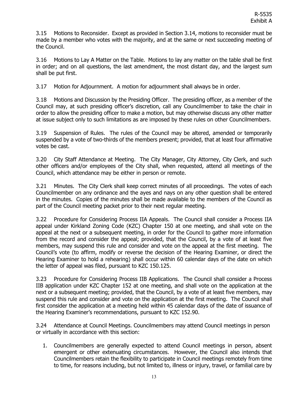<span id="page-12-0"></span>3.15 Motions to Reconsider. Except as provided in Section 3.14, motions to reconsider must be made by a member who votes with the majority, and at the same or next succeeding meeting of the Council.

<span id="page-12-1"></span>3.16 Motions to Lay A Matter on the Table.Motions to lay any matter on the table shall be first in order; and on all questions, the last amendment, the most distant day, and the largest sum shall be put first.

<span id="page-12-2"></span>3.17 Motion for Adjournment. A motion for adjournment shall always be in order.

<span id="page-12-3"></span>3.18 Motions and Discussion by the Presiding Officer. The presiding officer, as a member of the Council may, at such presiding officer's discretion, call any Councilmember to take the chair in order to allow the presiding officer to make a motion, but may otherwise discuss any other matter at issue subject only to such limitations as are imposed by these rules on other Councilmembers.

<span id="page-12-4"></span>3.19 Suspension of Rules. The rules of the Council may be altered, amended or temporarily suspended by a vote of two-thirds of the members present; provided, that at least four affirmative votes be cast.

<span id="page-12-5"></span>3.20 City Staff Attendance at Meeting. The City Manager, City Attorney, City Clerk, and such other officers and/or employees of the City shall, when requested, attend all meetings of the Council, which attendance may be either in person or remote.

<span id="page-12-6"></span>3.21 Minutes. The City Clerk shall keep correct minutes of all proceedings. The votes of each Councilmember on any ordinance and the ayes and nays on any other question shall be entered in the minutes. Copies of the minutes shall be made available to the members of the Council as part of the Council meeting packet prior to their next regular meeting.

<span id="page-12-7"></span>3.22 Procedure for Considering Process IIA Appeals. The Council shall consider a Process IIA appeal under Kirkland Zoning Code (KZC) Chapter 150 at one meeting, and shall vote on the appeal at the next or a subsequent meeting, in order for the Council to gather more information from the record and consider the appeal; provided, that the Council, by a vote of at least five members, may suspend this rule and consider and vote on the appeal at the first meeting. The Council's vote (to affirm, modify or reverse the decision of the Hearing Examiner, or direct the Hearing Examiner to hold a rehearing) shall occur within 60 calendar days of the date on which the letter of appeal was filed, pursuant to KZC 150.125.

<span id="page-12-8"></span>3.23 Procedure for Considering Process IIB Applications. The Council shall consider a Process IIB application under KZC Chapter 152 at one meeting, and shall vote on the application at the next or a subsequent meeting; provided, that the Council, by a vote of at least five members, may suspend this rule and consider and vote on the application at the first meeting. The Council shall first consider the application at a meeting held within 45 calendar days of the date of issuance of the Hearing Examiner's recommendations, pursuant to KZC 152.90.

<span id="page-12-9"></span>3.24 Attendance at Council Meetings. Councilmembers may attend Council meetings in person or virtually in accordance with this section:

1. Councilmembers are generally expected to attend Council meetings in person, absent emergent or other extenuating circumstances. However, the Council also intends that Councilmembers retain the flexibility to participate in Council meetings remotely from time to time, for reasons including, but not limited to, illness or injury, travel, or familial care by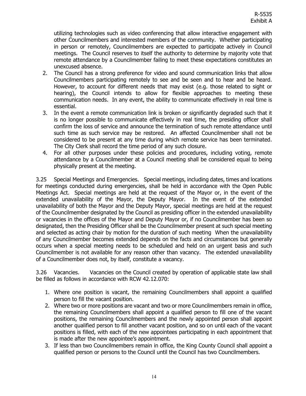utilizing technologies such as video conferencing that allow interactive engagement with other Councilmembers and interested members of the community. Whether participating in person or remotely, Councilmembers are expected to participate actively in Council meetings. The Council reserves to itself the authority to determine by majority vote that remote attendance by a Councilmember failing to meet these expectations constitutes an unexcused absence.

- 2. The Council has a strong preference for video and sound communication links that allow Councilmembers participating remotely to see and be seen and to hear and be heard. However, to account for different needs that may exist (e.g. those related to sight or hearing), the Council intends to allow for flexible approaches to meeting these communication needs. In any event, the ability to communicate effectively in real time is essential.
- 3. In the event a remote communication link is broken or significantly degraded such that it is no longer possible to communicate effectively in real time, the presiding officer shall confirm the loss of service and announce the termination of such remote attendance until such time as such service may be restored. An affected Councilmember shall not be considered to be present at any time during which remote service has been terminated. The City Clerk shall record the time period of any such closure.
- 4. For all other purposes under these policies and procedures, including voting, remote attendance by a Councilmember at a Council meeting shall be considered equal to being physically present at the meeting.

<span id="page-13-0"></span>3.25 Special Meetings and Emergencies. Special meetings, including dates, times and locations for meetings conducted during emergencies, shall be held in accordance with the Open Public Meetings Act. Special meetings are held at the request of the Mayor or, in the event of the extended unavailability of the Mayor, the Deputy Mayor. In the event of the extended unavailability of both the Mayor and the Deputy Mayor, special meetings are held at the request of the Councilmember designated by the Council as presiding officer in the extended unavailability or vacancies in the offices of the Mayor and Deputy Mayor or, if no Councilmember has been so designated, then the Presiding Officer shall be the Councilmember present at such special meeting and selected as acting chair by motion for the duration of such meeting When the unavailability of any Councilmember becomes extended depends on the facts and circumstances but generally occurs when a special meeting needs to be scheduled and held on an urgent basis and such Councilmember is not available for any reason other than vacancy. The extended unavailability of a Councilmember does not, by itself, constitute a vacancy.

<span id="page-13-1"></span>3.26 Vacancies. Vacancies on the Council created by operation of applicable state law shall be filled as follows in accordance with RCW 42.12.070:

- 1. Where one position is vacant, the remaining Councilmembers shall appoint a qualified person to fill the vacant position.
- 2. Where two or more positions are vacant and two or more Councilmembers remain in office, the remaining Councilmembers shall appoint a qualified person to fill one of the vacant positions, the remaining Councilmembers and the newly appointed person shall appoint another qualified person to fill another vacant position, and so on until each of the vacant positions is filled, with each of the new appointees participating in each appointment that is made after the new appointee's appointment.
- 3. If less than two Councilmembers remain in office, the King County Council shall appoint a qualified person or persons to the Council until the Council has two Councilmembers.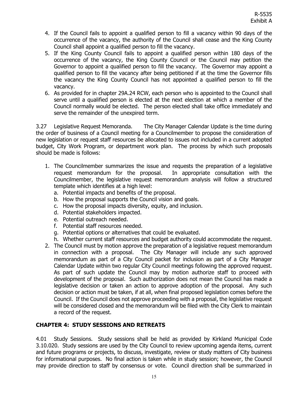- 4. If the Council fails to appoint a qualified person to fill a vacancy within 90 days of the occurrence of the vacancy, the authority of the Council shall cease and the King County Council shall appoint a qualified person to fill the vacancy.
- 5. If the King County Council fails to appoint a qualified person within 180 days of the occurrence of the vacancy, the King County Council or the Council may petition the Governor to appoint a qualified person to fill the vacancy. The Governor may appoint a qualified person to fill the vacancy after being petitioned if at the time the Governor fills the vacancy the King County Council has not appointed a qualified person to fill the vacancy.
- 6. As provided for in chapter 29A.24 RCW, each person who is appointed to the Council shall serve until a qualified person is elected at the next election at which a member of the Council normally would be elected. The person elected shall take office immediately and serve the remainder of the unexpired term.

<span id="page-14-0"></span>3.27 Legislative Request Memoranda. The City Manager Calendar Update is the time during the order of business of a Council meeting for a Councilmember to propose the consideration of new legislation or request staff resources be allocated to issues not included in a current adopted budget, City Work Program, or department work plan. The process by which such proposals should be made is follows:

- 1. The Councilmember summarizes the issue and requests the preparation of a legislative request memorandum for the proposal. In appropriate consultation with the Councilmember, the legislative request memorandum analysis will follow a structured template which identifies at a high level:
	- a. Potential impacts and benefits of the proposal.
	- b. How the proposal supports the Council vision and goals.
	- c. How the proposal impacts diversity, equity, and inclusion.
	- d. Potential stakeholders impacted.
	- e. Potential outreach needed.
	- f. Potential staff resources needed.
	- g. Potential options or alternatives that could be evaluated.
	- h. Whether current staff resources and budget authority could accommodate the request.
- 2. The Council must by motion approve the preparation of a legislative request memorandum in connection with a proposal. The City Manager will include any such approved memorandum as part of a City Council packet for inclusion as part of a City Manager Calendar Update within two regular City Council meetings following the approved request. As part of such update the Council may by motion authorize staff to proceed with development of the proposal. Such authorization does not mean the Council has made a legislative decision or taken an action to approve adoption of the proposal. Any such decision or action must be taken, if at all, when final proposed legislation comes before the Council. If the Council does not approve proceeding with a proposal, the legislative request will be considered closed and the memorandum will be filed with the City Clerk to maintain a record of the request.

## <span id="page-14-1"></span>**CHAPTER 4: STUDY SESSIONS AND RETREATS**

<span id="page-14-2"></span>4.01 Study Sessions. Study sessions shall be held as provided by Kirkland Municipal Code 3.10.020. Study sessions are used by the City Council to review upcoming agenda items, current and future programs or projects, to discuss, investigate, review or study matters of City business for informational purposes. No final action is taken while in study session; however, the Council may provide direction to staff by consensus or vote. Council direction shall be summarized in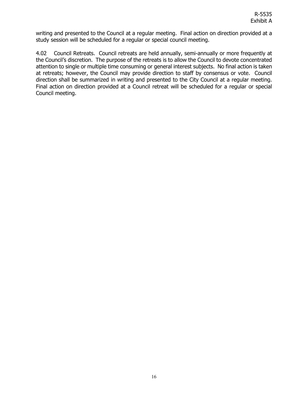writing and presented to the Council at a regular meeting. Final action on direction provided at a study session will be scheduled for a regular or special council meeting.

<span id="page-15-0"></span>4.02 Council Retreats. Council retreats are held annually, semi-annually or more frequently at the Council's discretion. The purpose of the retreats is to allow the Council to devote concentrated attention to single or multiple time consuming or general interest subjects. No final action is taken at retreats; however, the Council may provide direction to staff by consensus or vote. Council direction shall be summarized in writing and presented to the City Council at a regular meeting. Final action on direction provided at a Council retreat will be scheduled for a regular or special Council meeting.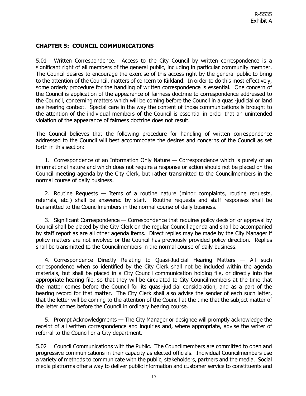# <span id="page-16-0"></span>**CHAPTER 5: COUNCIL COMMUNICATIONS**

<span id="page-16-1"></span>5.01 Written Correspondence. Access to the City Council by written correspondence is a significant right of all members of the general public, including in particular community member. The Council desires to encourage the exercise of this access right by the general public to bring to the attention of the Council, matters of concern to Kirkland. In order to do this most effectively, some orderly procedure for the handling of written correspondence is essential. One concern of the Council is application of the appearance of fairness doctrine to correspondence addressed to the Council, concerning matters which will be coming before the Council in a quasi-judicial or land use hearing context. Special care in the way the content of those communications is brought to the attention of the individual members of the Council is essential in order that an unintended violation of the appearance of fairness doctrine does not result.

The Council believes that the following procedure for handling of written correspondence addressed to the Council will best accommodate the desires and concerns of the Council as set forth in this section:

1. Correspondence of an Information Only Nature — Correspondence which is purely of an informational nature and which does not require a response or action should not be placed on the Council meeting agenda by the City Clerk, but rather transmitted to the Councilmembers in the normal course of daily business.

2. Routine Requests — Items of a routine nature (minor complaints, routine requests, referrals, etc.) shall be answered by staff. Routine requests and staff responses shall be transmitted to the Councilmembers in the normal course of daily business.

3. Significant Correspondence — Correspondence that requires policy decision or approval by Council shall be placed by the City Clerk on the regular Council agenda and shall be accompanied by staff report as are all other agenda items. Direct replies may be made by the City Manager if policy matters are not involved or the Council has previously provided policy direction. Replies shall be transmitted to the Councilmembers in the normal course of daily business.

4. Correspondence Directly Relating to Quasi-Judicial Hearing Matters — All such correspondence when so identified by the City Clerk shall not be included within the agenda materials, but shall be placed in a City Council communication holding file, or directly into the appropriate hearing file, so that they will be circulated to City Councilmembers at the time that the matter comes before the Council for its quasi-judicial consideration, and as a part of the hearing record for that matter. The City Clerk shall also advise the sender of each such letter, that the letter will be coming to the attention of the Council at the time that the subject matter of the letter comes before the Council in ordinary hearing course.

5. Prompt Acknowledgments — The City Manager or designee will promptly acknowledge the receipt of all written correspondence and inquiries and, where appropriate, advise the writer of referral to the Council or a City department.

<span id="page-16-2"></span>5.02 Council Communications with the Public. The Councilmembers are committed to open and progressive communications in their capacity as elected officials. Individual Councilmembers use a variety of methods to communicate with the public, stakeholders, partners and the media. Social media platforms offer a way to deliver public information and customer service to constituents and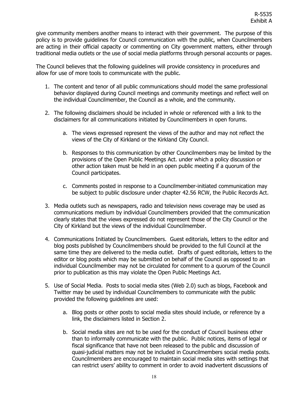give community members another means to interact with their government. The purpose of this policy is to provide guidelines for Council communication with the public, when Councilmembers are acting in their official capacity or commenting on City government matters, either through traditional media outlets or the use of social media platforms through personal accounts or pages.

The Council believes that the following guidelines will provide consistency in procedures and allow for use of more tools to communicate with the public.

- 1. The content and tenor of all public communications should model the same professional behavior displayed during Council meetings and community meetings and reflect well on the individual Councilmember, the Council as a whole, and the community.
- 2. The following disclaimers should be included in whole or referenced with a link to the disclaimers for all communications initiated by Councilmembers in open forums.
	- a. The views expressed represent the views of the author and may not reflect the views of the City of Kirkland or the Kirkland City Council.
	- b. Responses to this communication by other Councilmembers may be limited by the provisions of the Open Public Meetings Act. under which a policy discussion or other action taken must be held in an open public meeting if a quorum of the Council participates.
	- c. Comments posted in response to a Councilmember-initiated communication may be subject to public disclosure under chapter 42.56 RCW, the Public Records Act.
- 3. Media outlets such as newspapers, radio and television news coverage may be used as communications medium by individual Councilmembers provided that the communication clearly states that the views expressed do not represent those of the City Council or the City of Kirkland but the views of the individual Councilmember.
- 4. Communications Initiated by Councilmembers. Guest editorials, letters to the editor and blog posts published by Councilmembers should be provided to the full Council at the same time they are delivered to the media outlet. Drafts of guest editorials, letters to the editor or blog posts which may be submitted on behalf of the Council as opposed to an individual Councilmember may not be circulated for comment to a quorum of the Council prior to publication as this may violate the Open Public Meetings Act.
- 5. Use of Social Media. Posts to social media sites (Web 2.0) such as blogs, Facebook and Twitter may be used by individual Councilmembers to communicate with the public provided the following guidelines are used:
	- a. Blog posts or other posts to social media sites should include, or reference by a link, the disclaimers listed in Section 2.
	- b. Social media sites are not to be used for the conduct of Council business other than to informally communicate with the public. Public notices, items of legal or fiscal significance that have not been released to the public and discussion of quasi-judicial matters may not be included in Councilmembers social media posts. Councilmembers are encouraged to maintain social media sites with settings that can restrict users' ability to comment in order to avoid inadvertent discussions of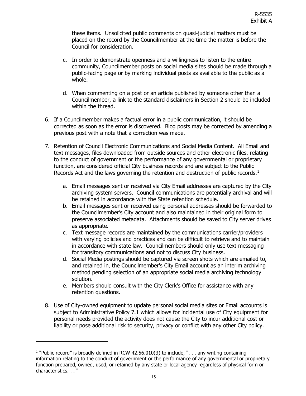these items. Unsolicited public comments on quasi-judicial matters must be placed on the record by the Councilmember at the time the matter is before the Council for consideration.

- c. In order to demonstrate openness and a willingness to listen to the entire community, Councilmember posts on social media sites should be made through a public-facing page or by marking individual posts as available to the public as a whole.
- d. When commenting on a post or an article published by someone other than a Councilmember, a link to the standard disclaimers in Section 2 should be included within the thread.
- 6. If a Councilmember makes a factual error in a public communication, it should be corrected as soon as the error is discovered. Blog posts may be corrected by amending a previous post with a note that a correction was made.
- 7. Retention of Council Electronic Communications and Social Media Content. All Email and text messages, files downloaded from outside sources and other electronic files, relating to the conduct of government or the performance of any governmental or proprietary function, are considered official City business records and are subject to the Public Records Act and the laws governing the retention and destruction of public records. $^1$  $^1$ 
	- a. Email messages sent or received via City Email addresses are captured by the City archiving system servers. Council communications are potentially archival and will be retained in accordance with the State retention schedule.
	- b. Email messages sent or received using personal addresses should be forwarded to the Councilmember's City account and also maintained in their original form to preserve associated metadata. Attachments should be saved to City server drives as appropriate.
	- c. Text message records are maintained by the communications carrier/providers with varying policies and practices and can be difficult to retrieve and to maintain in accordance with state law. Councilmembers should only use text messaging for transitory communications and not to discuss City business.
	- d. Social Media postings should be captured via screen shots which are emailed to, and retained in, the Councilmember's City Email account as an interim archiving method pending selection of an appropriate social media archiving technology solution.
	- e. Members should consult with the City Clerk's Office for assistance with any retention questions.
- 8. Use of City-owned equipment to update personal social media sites or Email accounts is subject to Administrative Policy 7.1 which allows for incidental use of City equipment for personal needs provided the activity does not cause the City to incur additional cost or liability or pose additional risk to security, privacy or conflict with any other City policy.

<span id="page-18-0"></span><sup>&</sup>lt;sup>1</sup> "Public record" is broadly defined in RCW 42.56.010(3) to include, ". . . any writing containing information relating to the conduct of government or the performance of any governmental or proprietary function prepared, owned, used, or retained by any state or local agency regardless of physical form or characteristics. . . "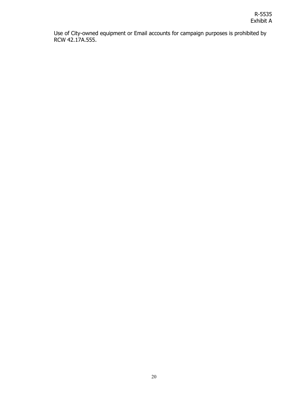Use of City-owned equipment or Email accounts for campaign purposes is prohibited by RCW 42.17A.555.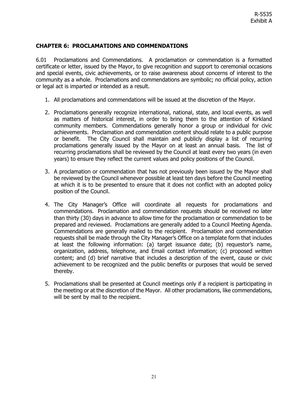## <span id="page-20-0"></span>**CHAPTER 6: PROCLAMATIONS AND COMMENDATIONS**

<span id="page-20-1"></span>6.01 Proclamations and Commendations. A proclamation or commendation is a formatted certificate or letter, issued by the Mayor, to give recognition and support to ceremonial occasions and special events, civic achievements, or to raise awareness about concerns of interest to the community as a whole. Proclamations and commendations are symbolic; no official policy, action or legal act is imparted or intended as a result.

- 1. All proclamations and commendations will be issued at the discretion of the Mayor.
- 2. Proclamations generally recognize international, national, state, and local events, as well as matters of historical interest, in order to bring them to the attention of Kirkland community members. Commendations generally honor a group or individual for civic achievements. Proclamation and commendation content should relate to a public purpose or benefit. The City Council shall maintain and publicly display a list of recurring proclamations generally issued by the Mayor on at least an annual basis. The list of recurring proclamations shall be reviewed by the Council at least every two years (in even years) to ensure they reflect the current values and policy positions of the Council.
- 3. A proclamation or commendation that has not previously been issued by the Mayor shall be reviewed by the Council whenever possible at least ten days before the Council meeting at which it is to be presented to ensure that it does not conflict with an adopted policy position of the Council.
- 4. The City Manager's Office will coordinate all requests for proclamations and commendations. Proclamation and commendation requests should be received no later than thirty (30) days in advance to allow time for the proclamation or commendation to be prepared and reviewed. Proclamations are generally added to a Council Meeting Agenda. Commendations are generally mailed to the recipient. Proclamation and commendation requests shall be made through the City Manager's Office on a template form that includes at least the following information: (a) target issuance date; (b) requestor's name, organization, address, telephone, and Email contact information; (c) proposed written content; and (d) brief narrative that includes a description of the event, cause or civic achievement to be recognized and the public benefits or purposes that would be served thereby.
- 5. Proclamations shall be presented at Council meetings only if a recipient is participating in the meeting or at the discretion of the Mayor. All other proclamations, like commendations, will be sent by mail to the recipient.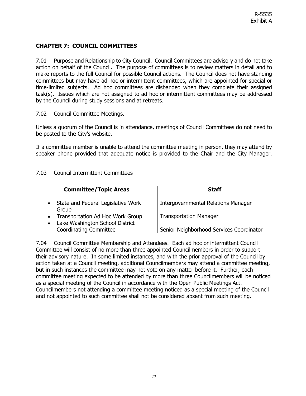# <span id="page-21-0"></span>**CHAPTER 7: COUNCIL COMMITTEES**

<span id="page-21-1"></span>7.01 Purpose and Relationship to City Council. Council Committees are advisory and do not take action on behalf of the Council. The purpose of committees is to review matters in detail and to make reports to the full Council for possible Council actions. The Council does not have standing committees but may have ad hoc or intermittent committees, which are appointed for special or time-limited subjects. Ad hoc committees are disbanded when they complete their assigned task(s). Issues which are not assigned to ad hoc or intermittent committees may be addressed by the Council during study sessions and at retreats.

## <span id="page-21-2"></span>7.02 Council Committee Meetings.

Unless a quorum of the Council is in attendance, meetings of Council Committees do not need to be posted to the City's website.

If a committee member is unable to attend the committee meeting in person, they may attend by speaker phone provided that adequate notice is provided to the Chair and the City Manager.

# <span id="page-21-3"></span>7.03 Council Intermittent Committees

| <b>Committee/Topic Areas</b>                                                     | <b>Staff</b>                               |
|----------------------------------------------------------------------------------|--------------------------------------------|
| State and Federal Legislative Work<br>Group                                      | <b>Intergovernmental Relations Manager</b> |
| Transportation Ad Hoc Work Group<br>$\bullet$<br>Lake Washington School District | <b>Transportation Manager</b>              |
| <b>Coordinating Committee</b>                                                    | Senior Neighborhood Services Coordinator   |

<span id="page-21-4"></span>7.04 Council Committee Membership and Attendees. Each ad hoc or intermittent Council Committee will consist of no more than three appointed Councilmembers in order to support their advisory nature. In some limited instances, and with the prior approval of the Council by action taken at a Council meeting, additional Councilmembers may attend a committee meeting, but in such instances the committee may not vote on any matter before it. Further, each committee meeting expected to be attended by more than three Councilmembers will be noticed as a special meeting of the Council in accordance with the Open Public Meetings Act. Councilmembers not attending a committee meeting noticed as a special meeting of the Council and not appointed to such committee shall not be considered absent from such meeting.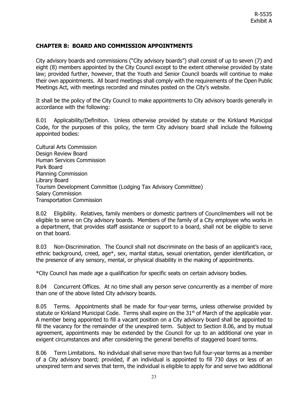# <span id="page-22-0"></span>**CHAPTER 8: BOARD AND COMMISSION APPOINTMENTS**

City advisory boards and commissions ("City advisory boards") shall consist of up to seven (7) and eight (8) members appointed by the City Council except to the extent otherwise provided by state law; provided further, however, that the Youth and Senior Council boards will continue to make their own appointments. All board meetings shall comply with the requirements of the Open Public Meetings Act, with meetings recorded and minutes posted on the City's website.

It shall be the policy of the City Council to make appointments to City advisory boards generally in accordance with the following:

<span id="page-22-1"></span>8.01 Applicability/Definition.Unless otherwise provided by statute or the Kirkland Municipal Code, for the purposes of this policy, the term City advisory board shall include the following appointed bodies:

Cultural Arts Commission Design Review Board Human Services Commission Park Board Planning Commission Library Board Tourism Development Committee (Lodging Tax Advisory Committee) Salary Commission Transportation Commission

<span id="page-22-2"></span>8.02 Eligibility. Relatives, family members or domestic partners of Councilmembers will not be eligible to serve on City advisory boards. Members of the family of a City employee who works in a department, that provides staff assistance or support to a board, shall not be eligible to serve on that board.

<span id="page-22-3"></span>8.03 Non-Discrimination. The Council shall not discriminate on the basis of an applicant's race, ethnic background, creed, age\*, sex, marital status, sexual orientation, gender identification, or the presence of any sensory, mental, or physical disability in the making of appointments.

\*City Council has made age a qualification for specific seats on certain advisory bodies.

<span id="page-22-4"></span>8.04 Concurrent Offices. At no time shall any person serve concurrently as a member of more than one of the above listed City advisory boards.

<span id="page-22-5"></span>8.05 Terms. Appointments shall be made for four-year terms, unless otherwise provided by statute or Kirkland Municipal Code. Terms shall expire on the  $31<sup>st</sup>$  of March of the applicable year. A member being appointed to fill a vacant position on a City advisory board shall be appointed to fill the vacancy for the remainder of the unexpired term. Subject to Section 8.06, and by mutual agreement, appointments may be extended by the Council for up to an additional one year in exigent circumstances and after considering the general benefits of staggered board terms.

<span id="page-22-6"></span>8.06 Term Limitations. No individual shall serve more than two full four-year terms as a member of a City advisory board; provided, if an individual is appointed to fill 730 days or less of an unexpired term and serves that term, the individual is eligible to apply for and serve two additional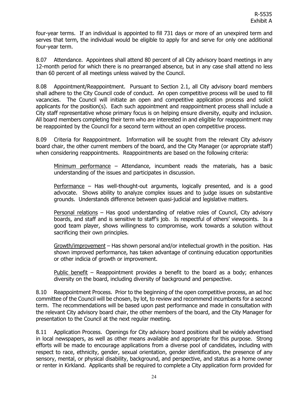four-year terms. If an individual is appointed to fill 731 days or more of an unexpired term and serves that term, the individual would be eligible to apply for and serve for only one additional four-year term.

<span id="page-23-0"></span>8.07 Attendance. Appointees shall attend 80 percent of all City advisory board meetings in any 12-month period for which there is no prearranged absence, but in any case shall attend no less than 60 percent of all meetings unless waived by the Council.

<span id="page-23-1"></span>8.08 Appointment/Reappointment. Pursuant to Section 2.1, all City advisory board members shall adhere to the City Council code of conduct. An open competitive process will be used to fill vacancies. The Council will initiate an open and competitive application process and solicit applicants for the position(s). Each such appointment and reappointment process shall include a City staff representative whose primary focus is on helping ensure diversity, equity and inclusion. All board members completing their term who are interested in and eligible for reappointment may be reappointed by the Council for a second term without an open competitive process.

<span id="page-23-2"></span>8.09 Criteria for Reappointment. Information will be sought from the relevant City advisory board chair, the other current members of the board, and the City Manager (or appropriate staff) when considering reappointments. Reappointments are based on the following criteria:

Minimum performance - Attendance, incumbent reads the materials, has a basic understanding of the issues and participates in discussion.

Performance – Has well-thought-out arguments, logically presented, and is a good advocate. Shows ability to analyze complex issues and to judge issues on substantive grounds. Understands difference between quasi-judicial and legislative matters.

Personal relations – Has good understanding of relative roles of Council, City advisory boards, and staff and is sensitive to staff's job. Is respectful of others' viewpoints. Is a good team player, shows willingness to compromise, work towards a solution without sacrificing their own principles.

Growth/improvement – Has shown personal and/or intellectual growth in the position. Has shown improved performance, has taken advantage of continuing education opportunities or other indicia of growth or improvement.

Public benefit – Reappointment provides a benefit to the board as a body; enhances diversity on the board, including diversity of background and perspective.

<span id="page-23-3"></span>8.10 Reappointment Process. Prior to the beginning of the open competitive process, an ad hoc committee of the Council will be chosen, by lot, to review and recommend incumbents for a second term. The recommendations will be based upon past performance and made in consultation with the relevant City advisory board chair, the other members of the board, and the City Manager for presentation to the Council at the next regular meeting.

<span id="page-23-4"></span>8.11 Application Process. Openings for City advisory board positions shall be widely advertised in local newspapers, as well as other means available and appropriate for this purpose. Strong efforts will be made to encourage applications from a diverse pool of candidates, including with respect to race, ethnicity, gender, sexual orientation, gender identification, the presence of any sensory, mental, or physical disability, background, and perspective, and status as a home owner or renter in Kirkland. Applicants shall be required to complete a City application form provided for